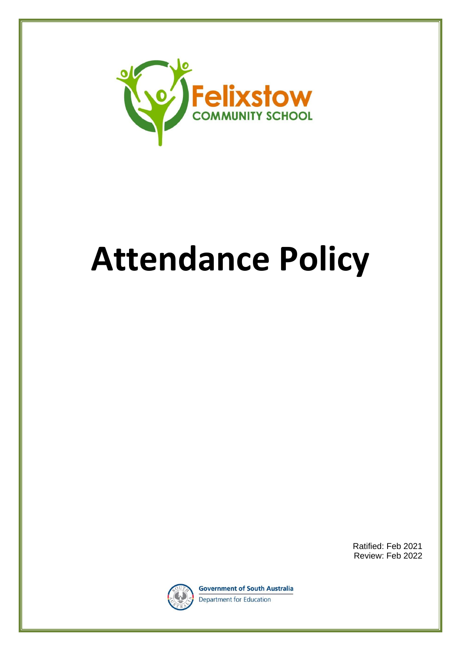

# **Attendance Policy**

Ratified: Feb 2021 Review: Feb 2022



**Government of South Australia** Department for Education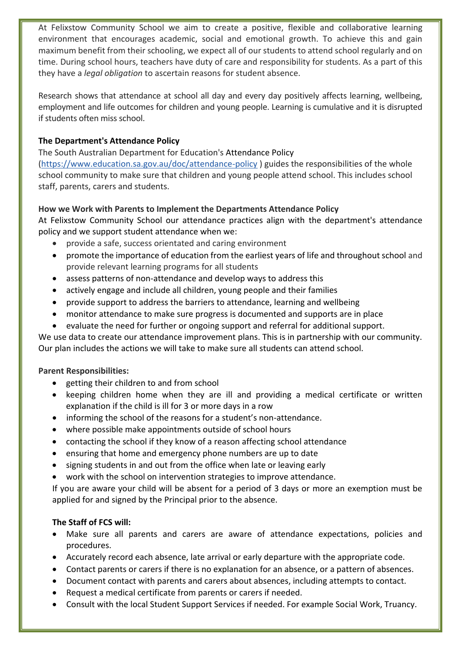At Felixstow Community School we aim to create a positive, flexible and collaborative learning environment that encourages academic, social and emotional growth. To achieve this and gain maximum benefit from their schooling, we expect all of our students to attend school regularly and on time. During school hours, teachers have duty of care and responsibility for students. As a part of this they have a *legal obligation* to ascertain reasons for student absence.

Research shows that attendance at school all day and every day positively affects learning, wellbeing, employment and life outcomes for children and young people. Learning is cumulative and it is disrupted if students often miss school.

## **The Department's Attendance Policy**

The South Australian Department for Education's Attendance Policy [\(https://www.education.sa.gov.au/doc/attendance-policy](https://www.education.sa.gov.au/doc/attendance-policy) ) guides the responsibilities of the whole school community to make sure that children and young people attend school. This includes school staff, parents, carers and students.

# **How we Work with Parents to Implement the Departments Attendance Policy**

At Felixstow Community School our attendance practices align with the department's attendance policy and we support student attendance when we:

- provide a safe, success orientated and caring environment
- promote the importance of education from the earliest years of life and throughout school and provide relevant learning programs for all students
- assess patterns of non-attendance and develop ways to address this
- actively engage and include all children, young people and their families
- provide support to address the barriers to attendance, learning and wellbeing
- monitor attendance to make sure progress is documented and supports are in place
- evaluate the need for further or ongoing support and referral for additional support.

We use data to create our attendance improvement plans. This is in partnership with our community. Our plan includes the actions we will take to make sure all students can attend school.

### **Parent Responsibilities:**

- getting their children to and from school
- keeping children home when they are ill and providing a medical certificate or written explanation if the child is ill for 3 or more days in a row
- informing the school of the reasons for a student's non-attendance.
- where possible make appointments outside of school hours
- contacting the school if they know of a reason affecting school attendance
- ensuring that home and emergency phone numbers are up to date
- signing students in and out from the office when late or leaving early
- work with the school on intervention strategies to improve attendance.

If you are aware your child will be absent for a period of 3 days or more an exemption must be applied for and signed by the Principal prior to the absence.

# **The Staff of FCS will:**

- Make sure all parents and carers are aware of attendance expectations, policies and procedures.
- Accurately record each absence, late arrival or early departure with the appropriate code.
- Contact parents or carers if there is no explanation for an absence, or a pattern of absences.
- Document contact with parents and carers about absences, including attempts to contact.
- Request a medical certificate from parents or carers if needed.
- Consult with the local Student Support Services if needed. For example Social Work, Truancy.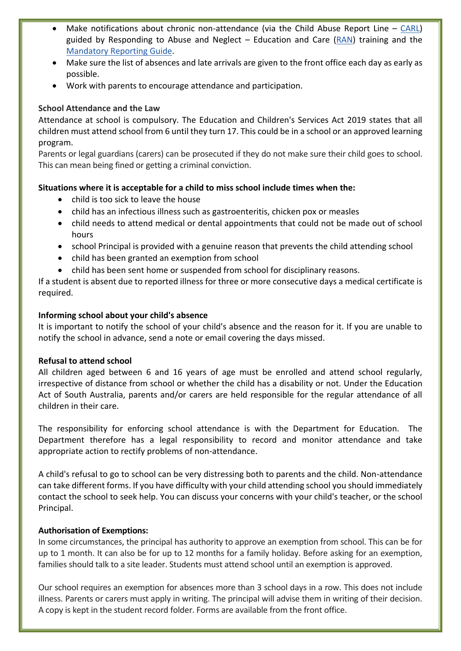- Make notifications about chronic non-attendance (via the Child Abuse Report Line  $-$  [CARL\)](https://www.childprotection.sa.gov.au/reporting-child-abuse) guided by Responding to Abuse and Neglect – Education and Care [\(RAN\)](https://www.education.sa.gov.au/working-us/responding-abuse-and-neglect-training/ran-ec-child-protection-training) training and the [Mandatory Reporting Guide.](https://www.childprotection.sa.gov.au/__data/assets/pdf_file/0008/107099/mandatory-reporting-guide.pdf)
- Make sure the list of absences and late arrivals are given to the front office each day as early as possible.
- Work with parents to encourage attendance and participation.

## **School Attendance and the Law**

Attendance at school is compulsory. The Education and Children's Services Act 2019 states that all children must attend school from 6 until they turn 17. This could be in a school or an approved learning program.

Parents or legal guardians (carers) can be prosecuted if they do not make sure their child goes to school. This can mean being fined or getting a criminal conviction.

# **Situations where it is acceptable for a child to miss school include times when the:**

- child is too sick to leave the house
- child has an infectious illness such as gastroenteritis, chicken pox or measles
- child needs to attend medical or dental appointments that could not be made out of school hours
- school Principal is provided with a genuine reason that prevents the child attending school
- child has been granted an exemption from school
- child has been sent home or suspended from school for disciplinary reasons.

If a student is absent due to reported illness for three or more consecutive days a medical certificate is required.

### **Informing school about your child's absence**

It is important to notify the school of your child's absence and the reason for it. If you are unable to notify the school in advance, send a note or email covering the days missed.

### **Refusal to attend school**

All children aged between 6 and 16 years of age must be enrolled and attend school regularly, irrespective of distance from school or whether the child has a disability or not. Under the Education Act of South Australia, parents and/or carers are held responsible for the regular attendance of all children in their care.

The responsibility for enforcing school attendance is with the Department for Education. The Department therefore has a legal responsibility to record and monitor attendance and take appropriate action to rectify problems of non-attendance.

A child's refusal to go to school can be very distressing both to parents and the child. Non-attendance can take different forms. If you have difficulty with your child attending school you should immediately contact the school to seek help. You can discuss your concerns with your child's teacher, or the school Principal.

### **Authorisation of Exemptions:**

In some circumstances, the principal has authority to approve an exemption from school. This can be for up to 1 month. It can also be for up to 12 months for a family holiday. Before asking for an exemption, families should talk to a site leader. Students must attend school until an exemption is approved.

Our school requires an exemption for absences more than 3 school days in a row. This does not include illness. Parents or carers must apply in writing. The principal will advise them in writing of their decision. A copy is kept in the student record folder. Forms are available from the front office.